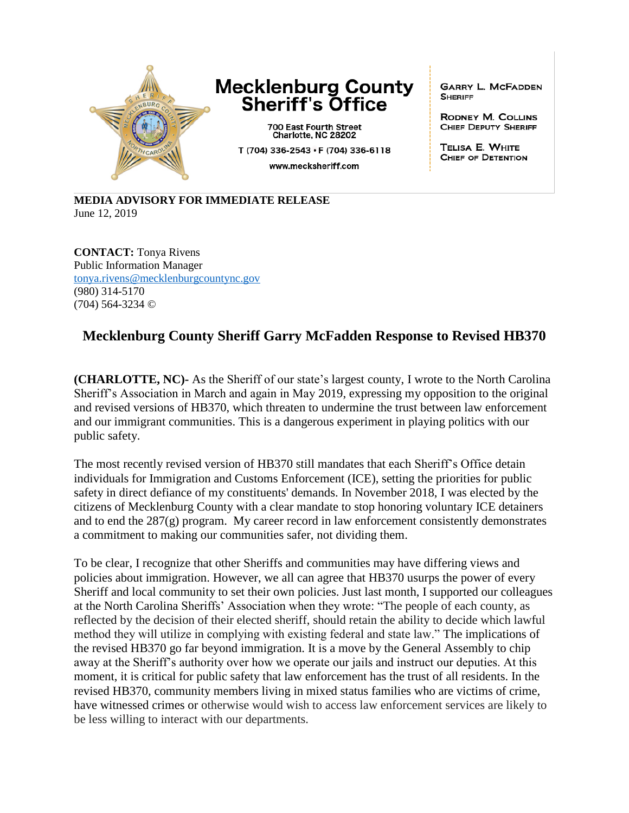

## **Mecklenburg County Sheriff's Office**

700 East Fourth Street<br>Charlotte, NC 28202 T (704) 336-2543 · F (704) 336-6118 www.mecksheriff.com

**GARRY L. MCFADDEN SHERIFF** 

**RODNEY M. COLLINS** CHIEF DEPUTY SHERIFF

TELISA E. WHITE CHIEF OF DETENTION

**MEDIA ADVISORY FOR IMMEDIATE RELEASE** June 12, 2019

**CONTACT:** Tonya Rivens Public Information Manager [tonya.rivens@mecklenburgcountync.gov](mailto:tonya.rivens@mecklenburgcountync.gov) (980) 314-5170 (704) 564-3234 ©

## **Mecklenburg County Sheriff Garry McFadden Response to Revised HB370**

**(CHARLOTTE, NC)-** As the Sheriff of our state's largest county, I wrote to the North Carolina Sheriff's Association in March and again in May 2019, expressing my opposition to the original and revised versions of HB370, which threaten to undermine the trust between law enforcement and our immigrant communities. This is a dangerous experiment in playing politics with our public safety.

The most recently revised version of HB370 still mandates that each Sheriff's Office detain individuals for Immigration and Customs Enforcement (ICE), setting the priorities for public safety in direct defiance of my constituents' demands. In November 2018, I was elected by the citizens of Mecklenburg County with a clear mandate to stop honoring voluntary ICE detainers and to end the  $287(g)$  program. My career record in law enforcement consistently demonstrates a commitment to making our communities safer, not dividing them.

To be clear, I recognize that other Sheriffs and communities may have differing views and policies about immigration. However, we all can agree that HB370 usurps the power of every Sheriff and local community to set their own policies. Just last month, I supported our colleagues at the North Carolina Sheriffs' Association when they wrote: "The people of each county, as reflected by the decision of their elected sheriff, should retain the ability to decide which lawful method they will utilize in complying with existing federal and state law." The implications of the revised HB370 go far beyond immigration. It is a move by the General Assembly to chip away at the Sheriff's authority over how we operate our jails and instruct our deputies. At this moment, it is critical for public safety that law enforcement has the trust of all residents. In the revised HB370, community members living in mixed status families who are victims of crime, have witnessed crimes or otherwise would wish to access law enforcement services are likely to be less willing to interact with our departments.